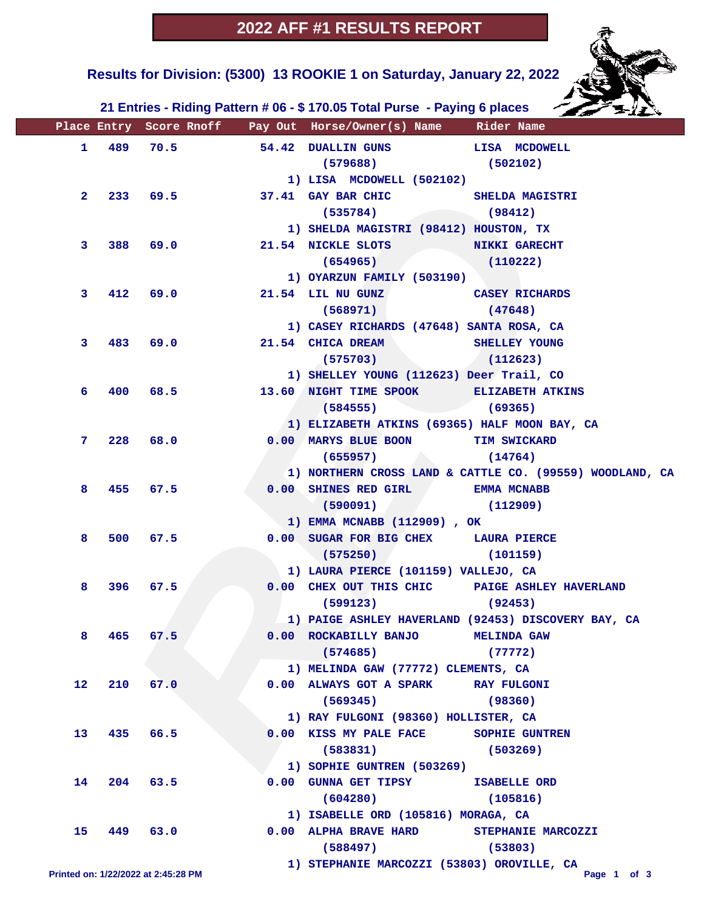

 **Results for Division: (5300) 13 ROOKIE 1 on Saturday, January 22, 2022** 

 **21 Entries - Riding Pattern # 06 - \$ 170.05 Total Purse - Paying 6 places**

|                                     |       |      |          | Place Entry Score Rnoff Pay Out Horse/Owner(s) Name Rider Name |                                                          |
|-------------------------------------|-------|------|----------|----------------------------------------------------------------|----------------------------------------------------------|
| $\mathbf{1}$                        | 489   | 70.5 |          | 54.42 DUALLIN GUNS LISA MCDOWELL                               |                                                          |
|                                     |       |      |          | $(579688)$ (502102)                                            |                                                          |
|                                     |       |      |          | 1) LISA MCDOWELL (502102)                                      |                                                          |
| $\mathbf{2}^-$                      |       |      | 233 69.5 | 37.41 GAY BAR CHIC SHELDA MAGISTRI                             |                                                          |
|                                     |       |      |          | $(535784)$ (98412)                                             |                                                          |
|                                     |       |      |          | 1) SHELDA MAGISTRI (98412) HOUSTON, TX                         |                                                          |
| 3                                   | 388   | 69.0 |          | 21.54 NICKLE SLOTS NIKKI GARECHT                               |                                                          |
|                                     |       |      |          | $(654965)$ $(110222)$                                          |                                                          |
|                                     |       |      |          | 1) OYARZUN FAMILY (503190)                                     |                                                          |
| 3                                   | 412   |      | 69.0     | 21.54 LIL NU GUNZ CASEY RICHARDS                               |                                                          |
|                                     |       |      |          | (568971)                                                       | (47648)                                                  |
|                                     |       |      |          | 1) CASEY RICHARDS (47648) SANTA ROSA, CA                       |                                                          |
| 3                                   | 483   | 69.0 |          | 21.54 CHICA DREAM SHELLEY YOUNG                                |                                                          |
|                                     |       |      |          | $(575703)$ $(112623)$                                          |                                                          |
|                                     |       |      |          | 1) SHELLEY YOUNG (112623) Deer Trail, CO                       |                                                          |
| 6.                                  | 400   | 68.5 |          | 13.60 NIGHT TIME SPOOK ELIZABETH ATKINS                        |                                                          |
|                                     |       |      |          | (584555)                                                       | (69365)                                                  |
|                                     |       |      |          | 1) ELIZABETH ATKINS (69365) HALF MOON BAY, CA                  |                                                          |
| 7                                   | 228   | 68.0 |          | 0.00 MARYS BLUE BOON TIM SWICKARD                              |                                                          |
|                                     |       |      |          | (655957)                                                       | (14764)                                                  |
|                                     |       |      |          |                                                                | 1) NORTHERN CROSS LAND & CATTLE CO. (99559) WOODLAND, CA |
| 8                                   | 455   | 67.5 |          | 0.00 SHINES RED GIRL BMMA MCNABB                               |                                                          |
|                                     |       |      |          | (590091)                                                       | (112909)                                                 |
|                                     |       |      |          | 1) EMMA MCNABB (112909), OK                                    |                                                          |
| 8                                   | 500   | 67.5 |          | 0.00 SUGAR FOR BIG CHEX LAURA PIERCE                           |                                                          |
|                                     |       |      |          | (575250)<br>$\sim$                                             | (101159)                                                 |
| 8                                   | 396   | 67.5 |          | 1) LAURA PIERCE (101159) VALLEJO, CA                           |                                                          |
|                                     |       |      |          | 0.00 CHEX OUT THIS CHIC PAIGE ASHLEY HAVERLAND<br>(92453)      |                                                          |
|                                     |       |      |          | (599123)                                                       | 1) PAIGE ASHLEY HAVERLAND (92453) DISCOVERY BAY, CA      |
|                                     | 8 465 | 67.5 |          | 0.00 ROCKABILLY BANJO MELINDA GAW                              |                                                          |
|                                     |       |      |          | (574685)                                                       | (77772)                                                  |
|                                     |       |      |          | 1) MELINDA GAW (77772) CLEMENTS, CA                            |                                                          |
| 12                                  | 210   | 67.0 |          | 0.00 ALWAYS GOT A SPARK                                        | <b>RAY FULGONI</b>                                       |
|                                     |       |      |          | (569345)                                                       | (98360)                                                  |
|                                     |       |      |          | 1) RAY FULGONI (98360) HOLLISTER, CA                           |                                                          |
| 13                                  | 435   | 66.5 |          | 0.00 KISS MY PALE FACE                                         | <b>SOPHIE GUNTREN</b>                                    |
|                                     |       |      |          | (583831)                                                       | (503269)                                                 |
|                                     |       |      |          | 1) SOPHIE GUNTREN (503269)                                     |                                                          |
| 14                                  | 204   | 63.5 |          | 0.00 GUNNA GET TIPSY ISABELLE ORD                              |                                                          |
|                                     |       |      |          | (604280)                                                       | (105816)                                                 |
|                                     |       |      |          | 1) ISABELLE ORD (105816) MORAGA, CA                            |                                                          |
| 15                                  | 449   | 63.0 |          | 0.00 ALPHA BRAVE HARD                                          | STEPHANIE MARCOZZI                                       |
|                                     |       |      |          | (588497)                                                       | (53803)                                                  |
| Printed on: 1/22/2022 at 2:45:28 PM |       |      |          | 1) STEPHANIE MARCOZZI (53803) OROVILLE, CA                     | Page 1 of 3                                              |
|                                     |       |      |          |                                                                |                                                          |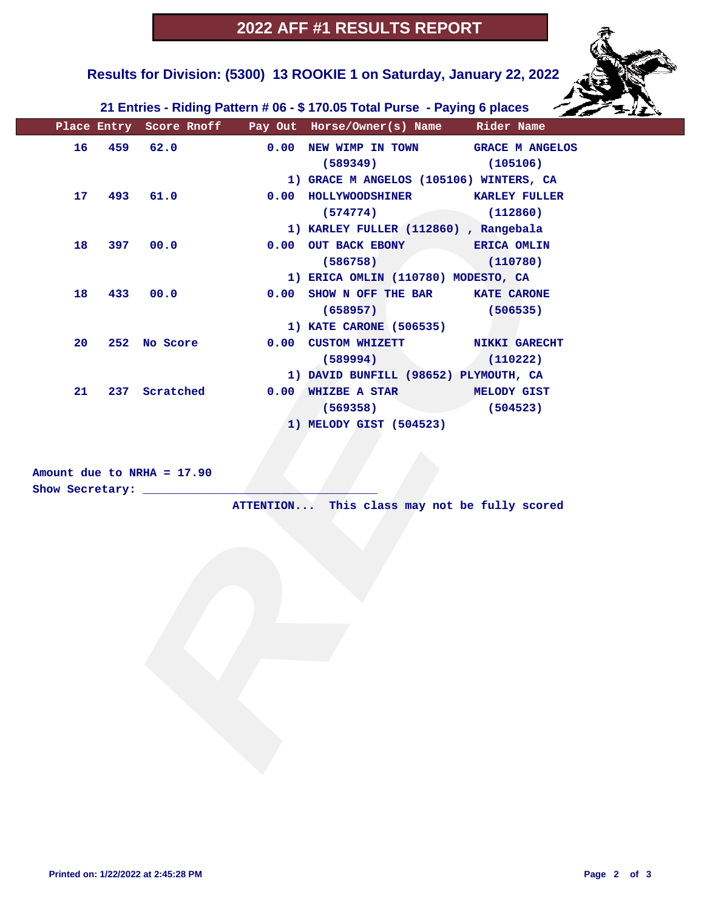

 **Results for Division: (5300) 13 ROOKIE 1 on Saturday, January 22, 2022** 

 **21 Entries - Riding Pattern # 06 - \$ 170.05 Total Purse - Paying 6 places**

|    |     |                              | Place Entry Score Rnoff Pay Out Horse/Owner(s) Name Rider Name |          |
|----|-----|------------------------------|----------------------------------------------------------------|----------|
| 16 |     | 459 62.0                     | 0.00 NEW WIMP IN TOWN GRACE M ANGELOS                          |          |
|    |     |                              | (589349)                                                       | (105106) |
|    |     |                              | 1) GRACE M ANGELOS (105106) WINTERS, CA                        |          |
| 17 | 493 | 61.0                         | 0.00 HOLLYWOODSHINER KARLEY FULLER                             |          |
|    |     |                              | (574774)                                                       | (112860) |
|    |     |                              | 1) KARLEY FULLER (112860), Rangebala                           |          |
| 18 | 397 | 00.0                         | 0.00 OUT BACK EBONY ERICA OMLIN                                |          |
|    |     |                              | (586758)                                                       | (110780) |
|    |     |                              | 1) ERICA OMLIN (110780) MODESTO, CA                            |          |
| 18 | 433 | 00.0                         | 0.00 SHOW N OFF THE BAR KATE CARONE                            |          |
|    |     |                              | (658957)                                                       | (506535) |
|    |     |                              | 1) KATE CARONE (506535)                                        |          |
| 20 |     | 252 No Score                 | 0.00 CUSTOM WHIZETT NIKKI GARECHT                              |          |
|    |     |                              | (589994)                                                       | (110222) |
|    |     |                              | 1) DAVID BUNFILL (98652) PLYMOUTH, CA                          |          |
| 21 |     | 237 Scratched                | 0.00 WHIZBE A STAR MELODY GIST                                 |          |
|    |     |                              | (569358)                                                       | (504523) |
|    |     |                              | 1) MELODY GIST (504523)                                        |          |
|    |     |                              |                                                                |          |
|    |     |                              |                                                                |          |
|    |     | Amount due to NRHA = 17.90   |                                                                |          |
|    |     | Show Secretary: ____________ |                                                                |          |
|    |     |                              | ATTENTION This class may not be fully scored                   |          |
|    |     |                              |                                                                |          |
|    |     |                              |                                                                |          |
|    |     |                              |                                                                |          |
|    |     |                              |                                                                |          |
|    |     |                              |                                                                |          |
|    |     |                              |                                                                |          |
|    |     |                              |                                                                |          |
|    |     |                              |                                                                |          |
|    |     |                              |                                                                |          |
|    |     |                              |                                                                |          |
|    |     |                              |                                                                |          |
|    |     |                              |                                                                |          |
|    |     |                              |                                                                |          |
|    |     |                              |                                                                |          |
|    |     |                              |                                                                |          |

### **Amount due to NRHA = 17.90 Show Secretary: \_\_\_\_\_\_\_\_\_\_\_\_\_\_\_\_\_\_\_\_\_\_\_\_\_\_\_\_\_\_\_\_\_\_**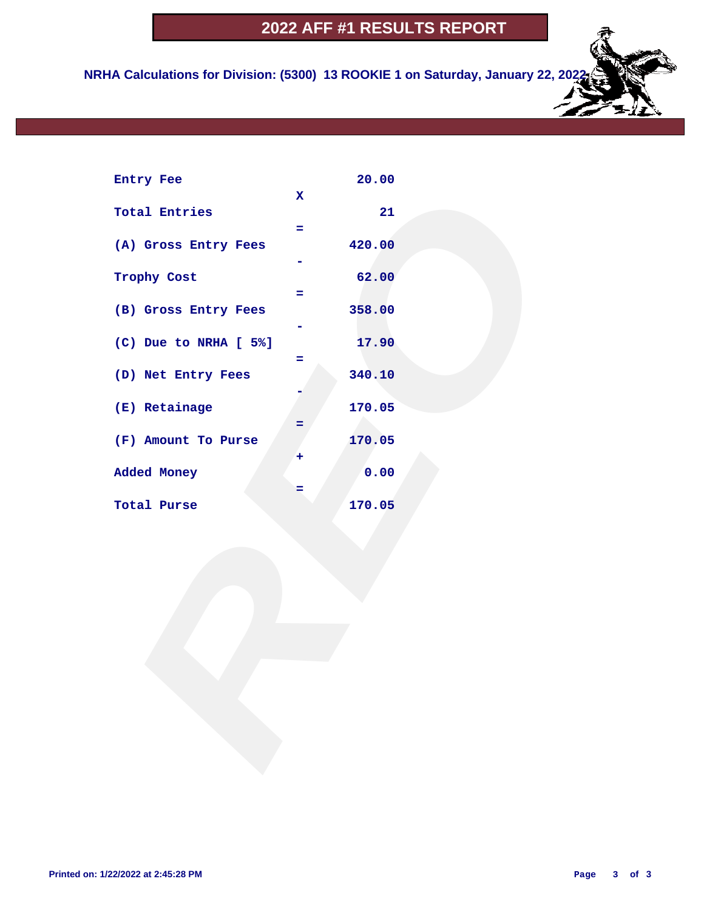**NRHA Calculations for Division: (5300) 13 ROOKIE 1 on Saturday, January 22, 2022**

| Entry Fee             |             | 20.00  |  |
|-----------------------|-------------|--------|--|
| <b>Total Entries</b>  | $\mathbf x$ | 21     |  |
|                       | ÷.          |        |  |
| (A) Gross Entry Fees  |             | 420.00 |  |
| Trophy Cost           |             | 62.00  |  |
|                       | $=$         |        |  |
| (B) Gross Entry Fees  |             | 358.00 |  |
| (C) Due to NRHA [ 5%] | Ξ           | 17.90  |  |
| (D) Net Entry Fees    |             | 340.10 |  |
| (E) Retainage         | Ξ           | 170.05 |  |
| (F) Amount To Purse   | ٠           | 170.05 |  |
| Added Money           |             | 0.00   |  |
| Total Purse           | =           | 170.05 |  |
|                       |             |        |  |
|                       |             |        |  |
|                       |             |        |  |
|                       |             |        |  |
|                       |             |        |  |
|                       |             |        |  |
|                       |             |        |  |
|                       |             |        |  |
|                       |             |        |  |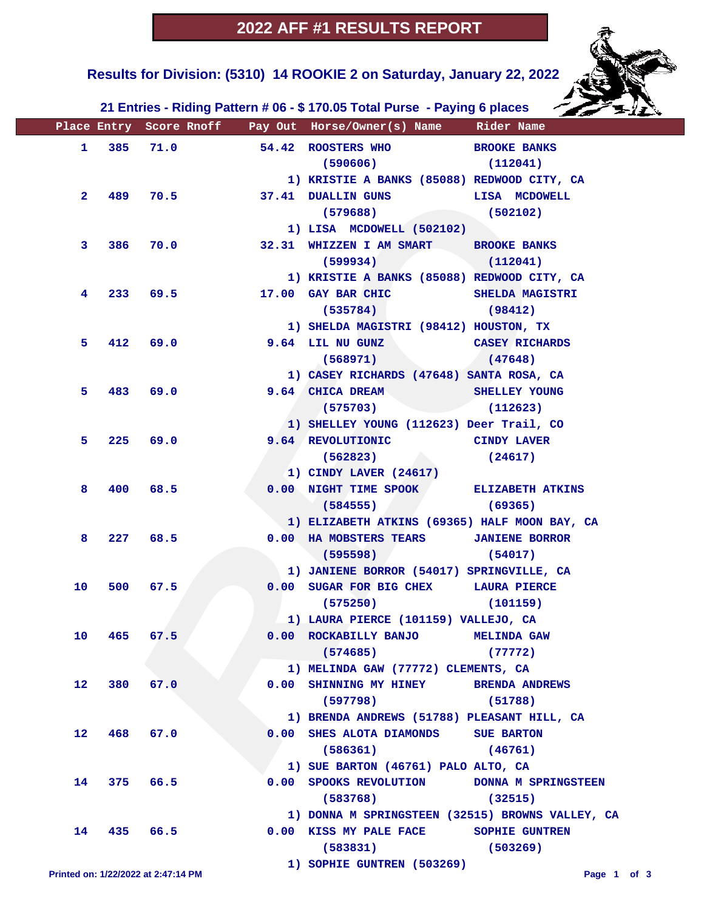

 **Results for Division: (5310) 14 ROOKIE 2 on Saturday, January 22, 2022** 

 **21 Entries - Riding Pattern # 06 - \$ 170.05 Total Purse - Paying 6 places**

|              |       |                                     |      | Place Entry Score Rnoff Pay Out Horse/Owner(s) Name Rider Name |                       |
|--------------|-------|-------------------------------------|------|----------------------------------------------------------------|-----------------------|
| $\mathbf{1}$ | 385   | 71.0                                |      | 54.42 ROOSTERS WHO BROOKE BANKS                                |                       |
|              |       |                                     |      | $(590606)$ $(112041)$                                          |                       |
|              |       |                                     |      | 1) KRISTIE A BANKS (85088) REDWOOD CITY, CA                    |                       |
| $\mathbf{2}$ | 489 — |                                     | 70.5 | 37.41 DUALLIN GUNS LISA MCDOWELL                               |                       |
|              |       |                                     |      | $(579688)$ (502102)                                            |                       |
|              |       |                                     |      | 1) LISA MCDOWELL (502102)                                      |                       |
| 3            | 386   | 70.0                                |      | 32.31 WHIZZEN I AM SMART BROOKE BANKS                          |                       |
|              |       |                                     |      | (599934)                                                       | (112041)              |
|              |       |                                     |      | 1) KRISTIE A BANKS (85088) REDWOOD CITY, CA                    |                       |
| 4            | 233   |                                     | 69.5 | 17.00 GAY BAR CHIC SHELDA MAGISTRI                             |                       |
|              |       |                                     |      | (535784)                                                       | (98412)               |
|              |       |                                     |      | 1) SHELDA MAGISTRI (98412) HOUSTON, TX                         |                       |
| 5.           | 412   | 69.0                                |      | 9.64 LIL NU GUNZ CASEY RICHARDS                                |                       |
|              |       |                                     |      | (568971)                                                       | (47648)               |
|              |       |                                     |      | 1) CASEY RICHARDS (47648) SANTA ROSA, CA                       |                       |
| 5.           | 483   | 69.0                                |      | 9.64 CHICA DREAM                                               | <b>SHELLEY YOUNG</b>  |
|              |       |                                     |      | (575703)                                                       | (112623)              |
|              |       |                                     |      | 1) SHELLEY YOUNG (112623) Deer Trail, CO                       |                       |
| 5.           | 225   | 69.0                                |      | 9.64 REVOLUTIONIC CINDY LAVER                                  |                       |
|              |       |                                     |      | (562823)                                                       | (24617)               |
|              |       |                                     |      | 1) CINDY LAVER (24617)                                         |                       |
| 8            | 400   | 68.5                                |      | 0.00 NIGHT TIME SPOOK ELIZABETH ATKINS                         |                       |
|              |       |                                     |      | $(584555)$ (59365)                                             |                       |
|              |       |                                     |      | 1) ELIZABETH ATKINS (69365) HALF MOON BAY, CA                  |                       |
| 8            |       | 227 68.5                            |      | 0.00 HA MOBSTERS TEARS JANIENE BORROR                          |                       |
|              |       |                                     |      | $(595598)$ (54017)                                             |                       |
|              |       |                                     |      | 1) JANIENE BORROR (54017) SPRINGVILLE, CA                      |                       |
| 10           | 500   | 67.5                                |      | 0.00 SUGAR FOR BIG CHEX LAURA PIERCE                           |                       |
|              |       |                                     |      | (575250)                                                       | (101159)              |
|              |       |                                     |      | 1) LAURA PIERCE (101159) VALLEJO, CA                           |                       |
| 10           | 465   | 67.5                                |      | 0.00 ROCKABILLY BANJO MELINDA GAW                              |                       |
|              |       |                                     |      | (574685)                                                       | (77772)               |
|              |       |                                     |      | 1) MELINDA GAW (77772) CLEMENTS, CA                            |                       |
| 12           | 380   | 67.0                                |      | 0.00 SHINNING MY HINEY                                         | <b>BRENDA ANDREWS</b> |
|              |       |                                     |      | (597798)                                                       | (51788)               |
|              |       |                                     |      | 1) BRENDA ANDREWS (51788) PLEASANT HILL, CA                    |                       |
| 12           | 468   | 67.0                                |      | 0.00 SHES ALOTA DIAMONDS                                       | <b>SUE BARTON</b>     |
|              |       |                                     |      | (586361)                                                       | (46761)               |
|              |       |                                     |      | 1) SUE BARTON (46761) PALO ALTO, CA                            |                       |
| 14           |       | 375 66.5                            |      | 0.00 SPOOKS REVOLUTION                                         | DONNA M SPRINGSTEEN   |
|              |       |                                     |      | (583768)                                                       | (32515)               |
|              |       |                                     |      | 1) DONNA M SPRINGSTEEN (32515) BROWNS VALLEY, CA               |                       |
| 14           |       | 435 66.5                            |      | 0.00 KISS MY PALE FACE                                         | SOPHIE GUNTREN        |
|              |       |                                     |      | (583831)                                                       | (503269)              |
|              |       |                                     |      | 1) SOPHIE GUNTREN (503269)                                     |                       |
|              |       | Printed on: 1/22/2022 at 2:47:14 PM |      |                                                                | Page 1 of 3           |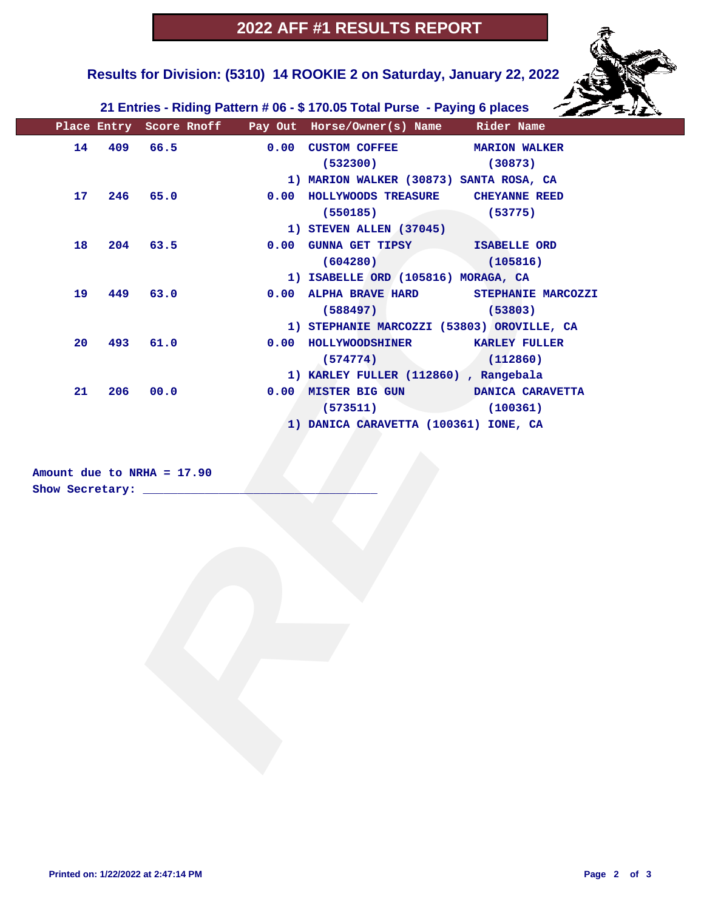

 **Results for Division: (5310) 14 ROOKIE 2 on Saturday, January 22, 2022** 

 **21 Entries - Riding Pattern # 06 - \$ 170.05 Total Purse - Paying 6 places**

|    |     |                                                            | Place Entry Score Rnoff Pay Out Horse/Owner(s) Name Rider Name |                    |
|----|-----|------------------------------------------------------------|----------------------------------------------------------------|--------------------|
| 14 |     | 409 66.5                                                   | 0.00 CUSTOM COFFEE MARION WALKER                               |                    |
|    |     |                                                            | (532300)                                                       | (30873)            |
|    |     |                                                            | 1) MARION WALKER (30873) SANTA ROSA, CA                        |                    |
| 17 |     | 246 65.0                                                   | 0.00 HOLLYWOODS TREASURE CHEYANNE REED                         |                    |
|    |     |                                                            | (550185)                                                       | (53775)            |
|    |     |                                                            | 1) STEVEN ALLEN (37045)                                        |                    |
| 18 | 204 | 63.5                                                       | 0.00 GUNNA GET TIPSY ISABELLE ORD                              |                    |
|    |     |                                                            | (604280)                                                       | (105816)           |
|    |     |                                                            | 1) ISABELLE ORD (105816) MORAGA, CA                            |                    |
| 19 | 449 | 63.0                                                       | 0.00 ALPHA BRAVE HARD                                          | STEPHANIE MARCOZZI |
|    |     |                                                            | (588497)                                                       | (53803)            |
|    |     |                                                            | 1) STEPHANIE MARCOZZI (53803) OROVILLE, CA                     |                    |
| 20 | 493 | 61.0                                                       | 0.00 HOLLYWOODSHINER KARLEY FULLER                             |                    |
|    |     |                                                            | (574774)                                                       | (112860)           |
|    |     |                                                            | 1) KARLEY FULLER (112860), Rangebala                           |                    |
| 21 | 206 | 00.0                                                       | 0.00 MISTER BIG GUN DANICA CARAVETTA                           |                    |
|    |     |                                                            | (573511)                                                       | (100361)           |
|    |     |                                                            | 1) DANICA CARAVETTA (100361) IONE, CA                          |                    |
|    |     | Amount due to NRHA = $17.90$<br>Show Secretary: __________ |                                                                |                    |
|    |     |                                                            |                                                                |                    |
|    |     |                                                            |                                                                |                    |
|    |     |                                                            |                                                                |                    |
|    |     |                                                            |                                                                |                    |
|    |     |                                                            |                                                                |                    |
|    |     |                                                            |                                                                |                    |
|    |     |                                                            |                                                                |                    |
|    |     |                                                            |                                                                |                    |
|    |     |                                                            |                                                                |                    |
|    |     |                                                            |                                                                |                    |
|    |     |                                                            |                                                                |                    |
|    |     |                                                            |                                                                |                    |
|    |     |                                                            |                                                                |                    |
|    |     |                                                            |                                                                |                    |
|    |     |                                                            |                                                                |                    |
|    |     |                                                            |                                                                |                    |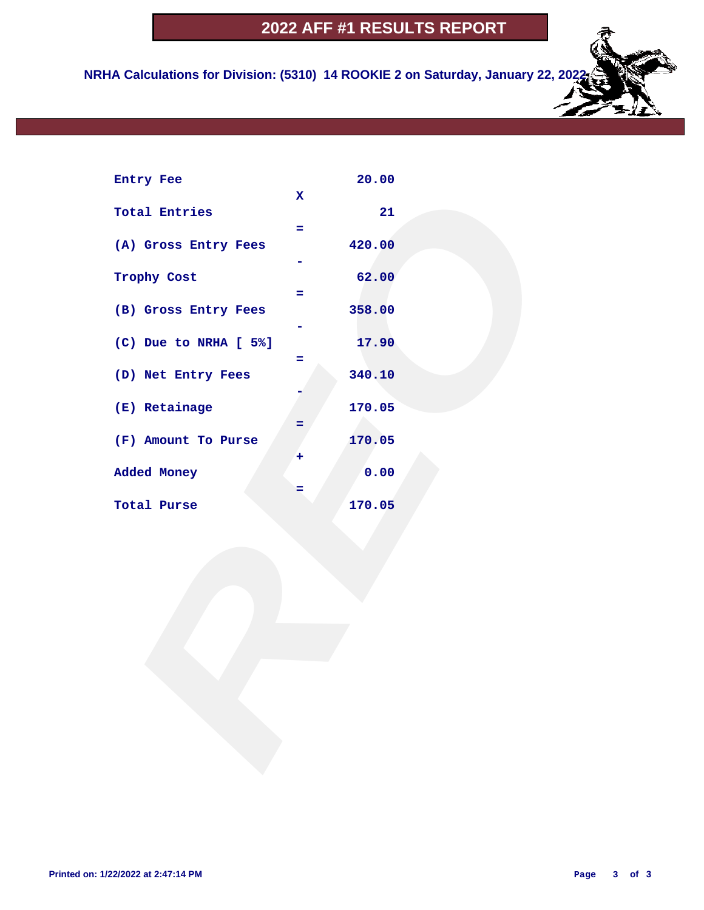**NRHA Calculations for Division: (5310) 14 ROOKIE 2 on Saturday, January 22, 2022**

| Entry Fee             |             | 20.00  |  |  |
|-----------------------|-------------|--------|--|--|
| <b>Total Entries</b>  | $\mathbf x$ | 21     |  |  |
| (A) Gross Entry Fees  | ÷           | 420.00 |  |  |
| Trophy Cost           | ÷           | 62.00  |  |  |
| (B) Gross Entry Fees  |             | 358.00 |  |  |
| (C) Due to NRHA [ 5%] | Ξ           | 17.90  |  |  |
| (D) Net Entry Fees    |             | 340.10 |  |  |
| (E) Retainage         | =           | 170.05 |  |  |
| (F) Amount To Purse   | ٠           | 170.05 |  |  |
| Added Money           | =           | 0.00   |  |  |
| Total Purse           |             | 170.05 |  |  |
|                       |             |        |  |  |
|                       |             |        |  |  |
|                       |             |        |  |  |
|                       |             |        |  |  |
|                       |             |        |  |  |
|                       |             |        |  |  |
|                       |             |        |  |  |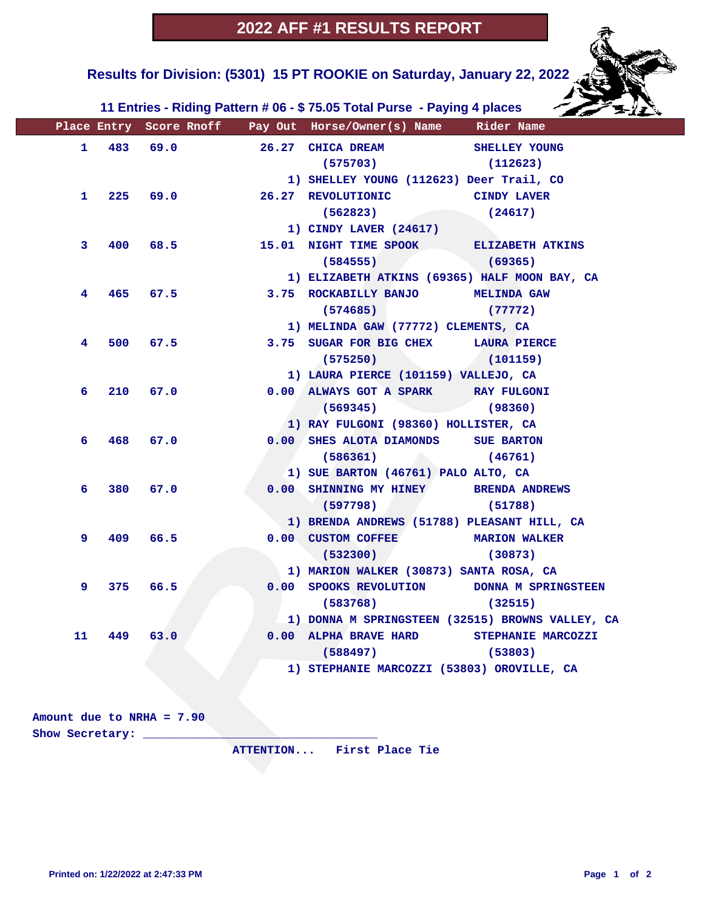**Results for Division: (5301) 15 PT ROOKIE on Saturday, January 22, 2022** 

 **11 Entries - Riding Pattern # 06 - \$ 75.05 Total Purse - Paying 4 places**

|    |     |                             |      | Place Entry Score Rnoff Pay Out Horse/Owner(s) Name Rider Name |                      |
|----|-----|-----------------------------|------|----------------------------------------------------------------|----------------------|
| 1. | 483 | 69.0                        |      | 26.27 CHICA DREAM                                              | <b>SHELLEY YOUNG</b> |
|    |     |                             |      | (575703)                                                       | (112623)             |
|    |     |                             |      | 1) SHELLEY YOUNG (112623) Deer Trail, CO                       |                      |
| 1. | 225 |                             | 69.0 | 26.27 REVOLUTIONIC                                             | <b>CINDY LAVER</b>   |
|    |     |                             |      | (562823)                                                       | (24617)              |
|    |     |                             |      | 1) CINDY LAVER (24617)                                         |                      |
| 3  | 400 | 68.5                        |      | 15.01 NIGHT TIME SPOOK ELIZABETH ATKINS                        |                      |
|    |     |                             |      | (584555)                                                       | (69365)              |
|    |     |                             |      | 1) ELIZABETH ATKINS (69365) HALF MOON BAY, CA                  |                      |
| 4  | 465 | 67.5                        |      | 3.75 ROCKABILLY BANJO MELINDA GAW                              |                      |
|    |     |                             |      | (574685)                                                       | (77772)              |
|    |     |                             |      | 1) MELINDA GAW (77772) CLEMENTS, CA                            |                      |
| 4  | 500 | 67.5                        |      | 3.75 SUGAR FOR BIG CHEX LAURA PIERCE                           |                      |
|    |     |                             |      | (575250)                                                       | (101159)             |
|    |     |                             |      | 1) LAURA PIERCE (101159) VALLEJO, CA                           |                      |
| 6  | 210 | 67.0                        |      | 0.00 ALWAYS GOT A SPARK RAY FULGONI                            |                      |
|    |     |                             |      | (569345)                                                       | (98360)              |
|    |     |                             |      | 1) RAY FULGONI (98360) HOLLISTER, CA                           |                      |
| 6  | 468 | 67.0                        |      | 0.00 SHES ALOTA DIAMONDS SUE BARTON                            |                      |
|    |     |                             |      | (586361)                                                       | (46761)              |
|    |     |                             |      | 1) SUE BARTON (46761) PALO ALTO, CA                            |                      |
| 6  | 380 | 67.0                        |      | 0.00 SHINNING MY HINEY BRENDA ANDREWS                          |                      |
|    |     |                             |      | (597798)                                                       | (51788)              |
|    |     |                             |      | 1) BRENDA ANDREWS (51788) PLEASANT HILL, CA                    |                      |
| 9  | 409 | 66.5                        |      | 0.00 CUSTOM COFFEE MARION WALKER                               |                      |
|    |     |                             |      | (532300)                                                       | (30873)              |
|    |     |                             |      | 1) MARION WALKER (30873) SANTA ROSA, CA                        |                      |
| 9  | 375 | 66.5                        |      | 0.00 SPOOKS REVOLUTION DONNA M SPRINGSTEEN                     |                      |
|    |     |                             |      | (583768)                                                       | (32515)              |
|    |     |                             |      | 1) DONNA M SPRINGSTEEN (32515) BROWNS VALLEY, CA               |                      |
| 11 | 449 | 63.0                        | 0.00 | ALPHA BRAVE HARD                                               | STEPHANIE MARCOZZI   |
|    |     |                             |      | (588497)                                                       | (53803)              |
|    |     |                             |      | 1) STEPHANIE MARCOZZI (53803) OROVILLE, CA                     |                      |
|    |     |                             |      |                                                                |                      |
|    |     |                             |      |                                                                |                      |
|    |     | Amount due to NRHA = $7.90$ |      |                                                                |                      |
|    |     | Show Secretary:             |      |                                                                |                      |
|    |     |                             |      | ATTENTION First Place Tie                                      |                      |
|    |     |                             |      |                                                                |                      |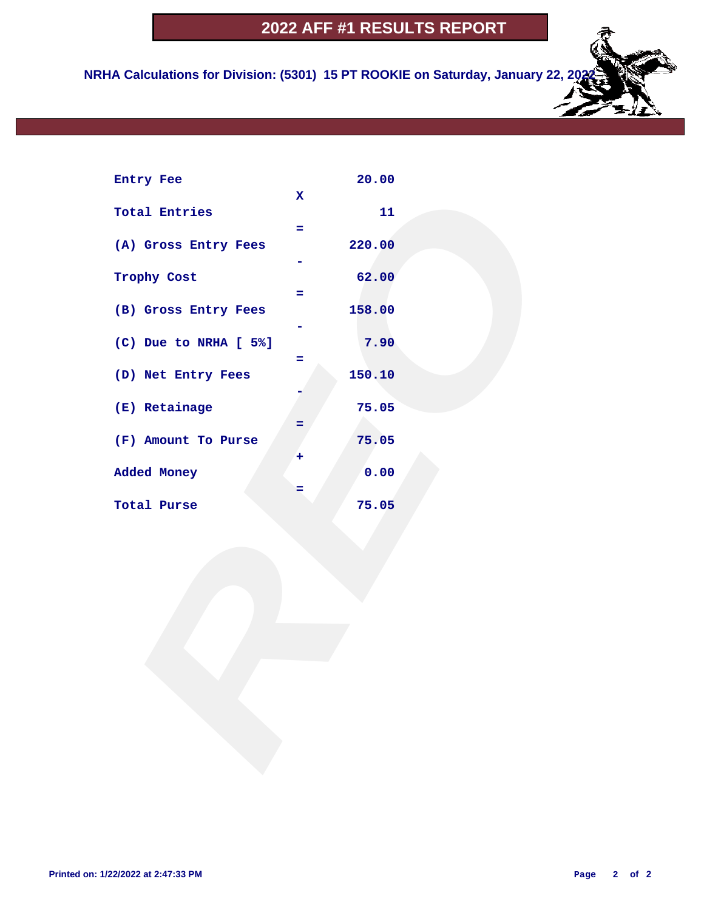**NRHA Calculations for Division: (5301) 15 PT ROOKIE on Saturday, January 22, 20** 

| Entry Fee             |             | 20.00  |  |
|-----------------------|-------------|--------|--|
|                       | $\mathbf x$ |        |  |
| <b>Total Entries</b>  |             | 11     |  |
|                       | Ξ.          |        |  |
| (A) Gross Entry Fees  |             | 220.00 |  |
|                       |             |        |  |
| Trophy Cost           |             | 62.00  |  |
|                       | $=$         |        |  |
| (B) Gross Entry Fees  |             | 158.00 |  |
| (C) Due to NRHA [ 5%] |             | 7.90   |  |
|                       | Ξ           |        |  |
| (D) Net Entry Fees    |             | 150.10 |  |
|                       |             |        |  |
| (E) Retainage         |             | 75.05  |  |
|                       | =           |        |  |
| (F) Amount To Purse   |             | 75.05  |  |
|                       | ٠           |        |  |
| Added Money           |             | 0.00   |  |
|                       | =           |        |  |
| Total Purse           |             | 75.05  |  |
|                       |             |        |  |
|                       |             |        |  |
|                       |             |        |  |
|                       |             |        |  |
|                       |             |        |  |
|                       |             |        |  |
|                       |             |        |  |
|                       |             |        |  |
|                       |             |        |  |
|                       |             |        |  |
|                       |             |        |  |
|                       |             |        |  |
|                       |             |        |  |
|                       |             |        |  |
|                       |             |        |  |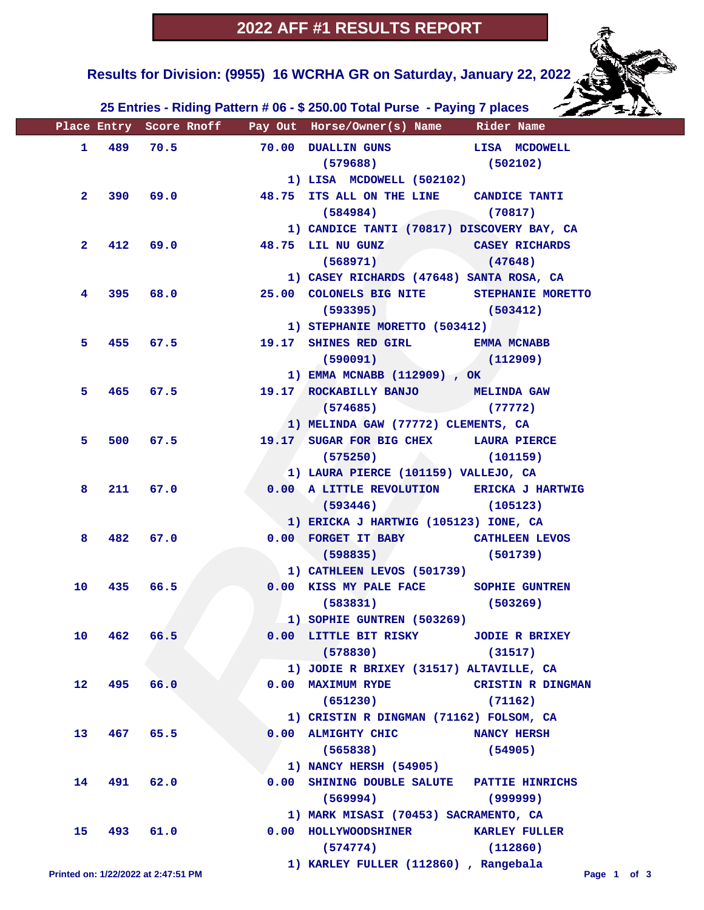**Results for Division: (9955) 16 WCRHA GR on Saturday, January 22, 2022** 

 **25 Entries - Riding Pattern # 06 - \$ 250.00 Total Purse - Paying 7 places**

|                                     |     |            |          | Place Entry Score Rnoff Pay Out Horse/Owner(s) Name Rider Name |                          |
|-------------------------------------|-----|------------|----------|----------------------------------------------------------------|--------------------------|
|                                     |     | 1 489 70.5 |          | 70.00 DUALLIN GUNS LISA MCDOWELL                               |                          |
|                                     |     |            |          | $(579688)$ (502102)                                            |                          |
|                                     |     |            |          | 1) LISA MCDOWELL (502102)                                      |                          |
| $\mathbf{2}^-$                      |     |            | 390 69.0 | 48.75 ITS ALL ON THE LINE CANDICE TANTI                        |                          |
|                                     |     |            |          | $(584984)$ (70817)                                             |                          |
|                                     |     |            |          | 1) CANDICE TANTI (70817) DISCOVERY BAY, CA                     |                          |
| $\mathbf{2}$                        |     |            | 412 69.0 | 48.75 LIL NU GUNZ CASEY RICHARDS                               |                          |
|                                     |     |            |          | (568971)                                                       | (47648)                  |
|                                     |     |            |          | 1) CASEY RICHARDS (47648) SANTA ROSA, CA                       |                          |
| 4                                   |     |            | 395 68.0 | 25.00 COLONELS BIG NITE STEPHANIE MORETTO                      |                          |
|                                     |     |            |          | $(593395)$ $(503412)$                                          |                          |
|                                     |     |            |          | 1) STEPHANIE MORETTO (503412)                                  |                          |
| 5.                                  |     |            | 455 67.5 | 19.17 SHINES RED GIRL EMMA MCNABB                              |                          |
|                                     |     |            |          | $(590091)$ (112909)                                            |                          |
|                                     |     |            |          | 1) EMMA MCNABB (112909), OK                                    |                          |
| 5.                                  |     |            | 465 67.5 | 19.17 ROCKABILLY BANJO MELINDA GAW                             |                          |
|                                     |     |            |          | $(574685)$ (77772)                                             |                          |
|                                     |     |            |          | 1) MELINDA GAW (77772) CLEMENTS, CA                            |                          |
| 5.                                  |     |            | 500 67.5 | 19.17 SUGAR FOR BIG CHEX LAURA PIERCE                          |                          |
|                                     |     |            |          | $(575250)$ (101159)                                            |                          |
|                                     |     |            |          | 1) LAURA PIERCE (101159) VALLEJO, CA                           |                          |
| 8                                   |     | 211 67.0   |          | 0.00 A LITTLE REVOLUTION ERICKA J HARTWIG                      |                          |
|                                     |     |            |          | (105123)                                                       |                          |
|                                     |     |            |          | 1) ERICKA J HARTWIG (105123) IONE, CA                          |                          |
| 8                                   |     | 482 67.0   |          | 0.00 FORGET IT BABY CATHLEEN LEVOS                             |                          |
|                                     |     |            |          | $(598835)$ (501739)                                            |                          |
|                                     |     |            |          | 1) CATHLEEN LEVOS (501739)                                     |                          |
| 10                                  |     | 435 66.5   |          | 0.00 KISS MY PALE FACE SOPHIE GUNTREN                          |                          |
|                                     |     |            |          | $(583831)$ (503269)                                            |                          |
|                                     |     |            |          | 1) SOPHIE GUNTREN (503269)                                     |                          |
| 10                                  | 462 | 66.5       |          | 0.00 LITTLE BIT RISKY                                          | <b>JODIE R BRIXEY</b>    |
|                                     |     |            |          | (578830)                                                       | (31517)                  |
|                                     |     |            |          | 1) JODIE R BRIXEY (31517) ALTAVILLE, CA                        |                          |
| $12 \overline{ }$                   | 495 | 66.0       |          | 0.00 MAXIMUM RYDE                                              | <b>CRISTIN R DINGMAN</b> |
|                                     |     |            |          | (651230)                                                       | (71162)                  |
|                                     |     |            |          | 1) CRISTIN R DINGMAN (71162) FOLSOM, CA                        |                          |
| 13                                  | 467 | 65.5       |          | 0.00 ALMIGHTY CHIC                                             | <b>NANCY HERSH</b>       |
|                                     |     |            |          | (565838)                                                       | (54905)                  |
|                                     |     |            |          | 1) NANCY HERSH (54905)                                         |                          |
| 14                                  | 491 | 62.0       |          | 0.00 SHINING DOUBLE SALUTE PATTIE HINRICHS                     |                          |
|                                     |     |            |          | (569994)                                                       | (999999)                 |
|                                     |     |            |          | 1) MARK MISASI (70453) SACRAMENTO, CA                          |                          |
| 15                                  |     | 493 61.0   |          | 0.00 HOLLYWOODSHINER                                           | <b>KARLEY FULLER</b>     |
|                                     |     |            |          | (574774)                                                       | (112860)                 |
| Printed on: 1/22/2022 at 2:47:51 PM |     |            |          | 1) KARLEY FULLER (112860), Rangebala                           | Page 1 of 3              |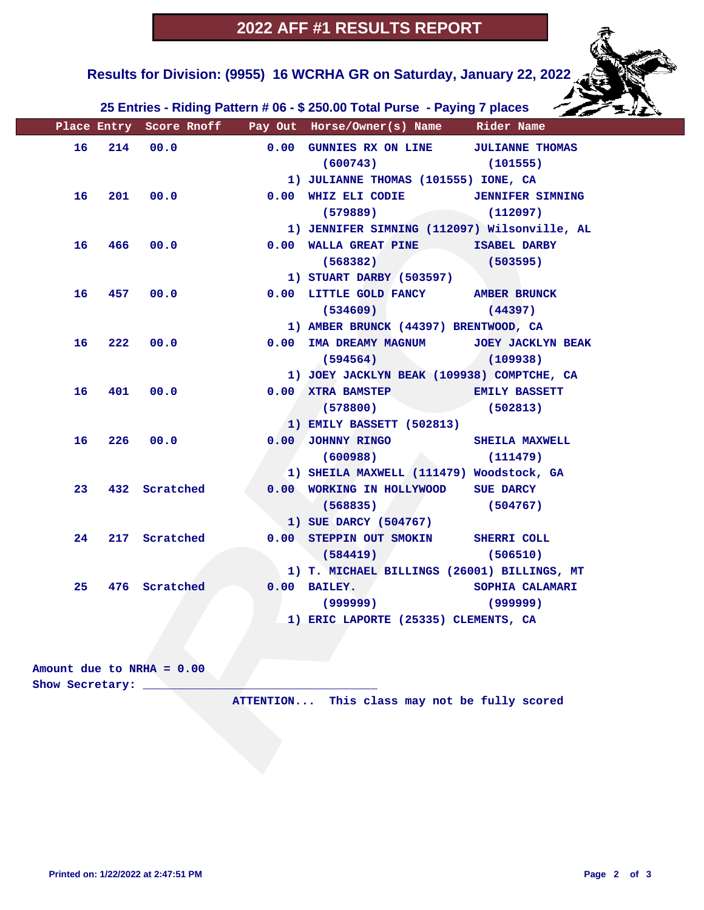**Results for Division: (9955) 16 WCRHA GR on Saturday, January 22, 2022** 

 **25 Entries - Riding Pattern # 06 - \$ 250.00 Total Purse - Paying 7 places**

|    |     |                           | Place Entry Score Rnoff Pay Out Horse/Owner(s) Name Rider Name  |                          |
|----|-----|---------------------------|-----------------------------------------------------------------|--------------------------|
| 16 | 214 | 00.0                      | 0.00 GUNNIES RX ON LINE JULIANNE THOMAS<br>(600743)<br>(101555) |                          |
|    |     |                           | 1) JULIANNE THOMAS (101555) IONE, CA                            |                          |
| 16 |     | 201 00.0                  | 0.00 WHIZ ELI CODIE JENNIFER SIMNING                            |                          |
|    |     |                           | (579889)                                                        | (112097)                 |
|    |     |                           | 1) JENNIFER SIMNING (112097) Wilsonville, AL                    |                          |
| 16 | 466 | 00.0                      | 0.00 WALLA GREAT PINE ISABEL DARBY                              |                          |
|    |     |                           | (568382)                                                        | (503595)                 |
|    |     |                           | 1) STUART DARBY (503597)                                        |                          |
| 16 | 457 | 00.0                      | 0.00 LITTLE GOLD FANCY AMBER BRUNCK                             |                          |
|    |     |                           | (534609)                                                        | (44397)                  |
|    |     |                           | 1) AMBER BRUNCK (44397) BRENTWOOD, CA                           |                          |
| 16 | 222 | 00.0                      | 0.00 IMA DREAMY MAGNUM                                          | <b>JOEY JACKLYN BEAK</b> |
|    |     |                           | (594564)                                                        | (109938)                 |
|    |     |                           | 1) JOEY JACKLYN BEAK (109938) COMPTCHE, CA                      |                          |
| 16 | 401 | 00.0                      | 0.00 XTRA BAMSTEP                                               | <b>EMILY BASSETT</b>     |
|    |     |                           | (578800)                                                        | (502813)                 |
|    |     |                           | 1) EMILY BASSETT (502813)                                       |                          |
| 16 | 226 | 00.0                      | 0.00 JOHNNY RINGO                                               | SHEILA MAXWELL           |
|    |     |                           | (600988)                                                        | (111479)                 |
|    |     |                           | 1) SHEILA MAXWELL (111479) Woodstock, GA                        |                          |
| 23 |     | 432 Scratched             | 0.00 WORKING IN HOLLYWOOD SUE DARCY                             |                          |
|    |     |                           | (568835)<br>and the contract of                                 | (504767)                 |
|    |     |                           | 1) SUE DARCY (504767)                                           |                          |
| 24 |     | 217 Scratched             | 0.00 STEPPIN OUT SMOKIN SHERRI COLL                             |                          |
|    |     |                           | (584419)<br>$\mathcal{L}$                                       | (506510)                 |
|    |     |                           | 1) T. MICHAEL BILLINGS (26001) BILLINGS, MT                     |                          |
| 25 | 476 | Scratched                 | $0.00$ BAILEY.                                                  | SOPHIA CALAMARI          |
|    |     |                           | (999999)                                                        | (999999)                 |
|    |     |                           | 1) ERIC LAPORTE (25335) CLEMENTS, CA                            |                          |
|    |     |                           |                                                                 |                          |
|    |     |                           |                                                                 |                          |
|    |     | Amount due to NRHA = 0.00 |                                                                 |                          |
|    |     | Show Secretary:           |                                                                 |                          |
|    |     |                           | ATTENTION This class may not be fully scored                    |                          |
|    |     |                           |                                                                 |                          |
|    |     |                           |                                                                 |                          |
|    |     |                           |                                                                 |                          |

| Amount due to NRHA = $0.00$ |  |                                              |  |  |  |
|-----------------------------|--|----------------------------------------------|--|--|--|
| Show Secretary:             |  |                                              |  |  |  |
|                             |  | ATTENTION This class may not be fully scored |  |  |  |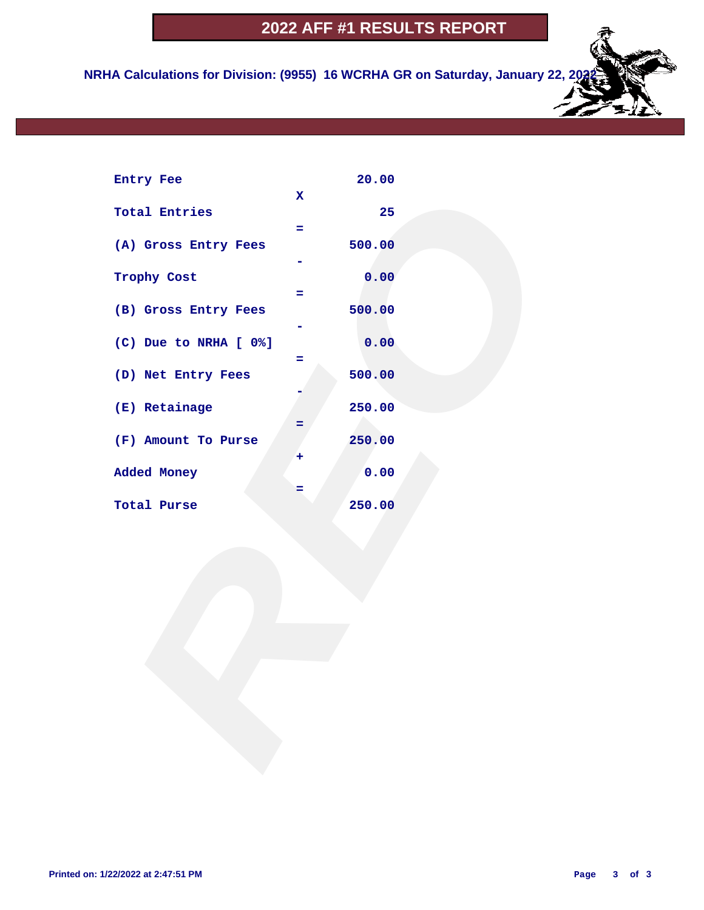**NRHA Calculations for Division: (9955) 16 WCRHA GR on Saturday, January 22, 2023** 

| Entry Fee             |                  | 20.00  |  |
|-----------------------|------------------|--------|--|
| <b>Total Entries</b>  | $\mathbf x$<br>÷ | 25     |  |
| (A) Gross Entry Fees  |                  | 500.00 |  |
| Trophy Cost           | Ξ                | 0.00   |  |
| (B) Gross Entry Fees  |                  | 500.00 |  |
| (C) Due to NRHA [ 0%] | Ξ                | 0.00   |  |
| (D) Net Entry Fees    |                  | 500.00 |  |
| (E) Retainage         | =                | 250.00 |  |
| (F) Amount To Purse   | ٠                | 250.00 |  |
| Added Money           | =                | 0.00   |  |
| Total Purse           |                  | 250.00 |  |
|                       |                  |        |  |
|                       |                  |        |  |
|                       |                  |        |  |
|                       |                  |        |  |
|                       |                  |        |  |
|                       |                  |        |  |
|                       |                  |        |  |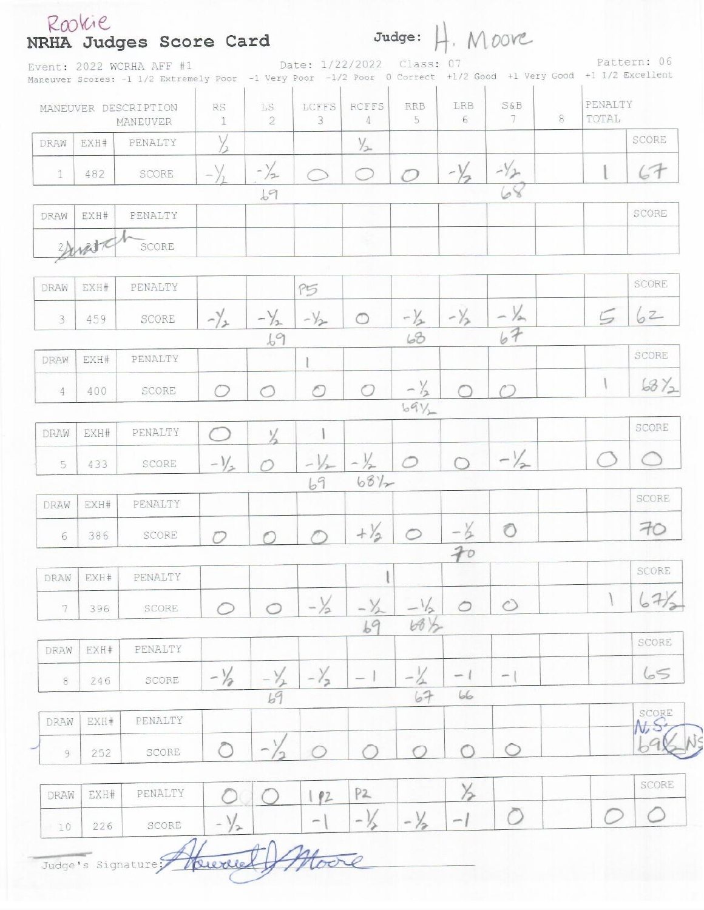|                |             | NRHA Judges Score Card<br>Event: 2022 WCRHA AFF #1<br>Maneuver Scores: -1 1/2 Extremely Poor -1 Very Poor -1/2 Poor 0 Correct +1/2 Good +1 Very Good +1 1/2 Excellent |                                           |                          |                          | Date: 1/22/2022 Class: 07 |                 |                | Judge: H. MOOC           |   |                  | Pattern: 06 |
|----------------|-------------|-----------------------------------------------------------------------------------------------------------------------------------------------------------------------|-------------------------------------------|--------------------------|--------------------------|---------------------------|-----------------|----------------|--------------------------|---|------------------|-------------|
|                |             | MANEUVER DESCRIPTION<br><b>MANEUVER</b>                                                                                                                               | <b>RS</b><br>ĩ                            | LS<br>$\tilde{2}$        | LCFFS<br>3               | <b>RCFFS</b><br>$\Delta$  | <b>RRB</b><br>5 | LRB<br>6       | S&B<br>7                 | 8 | PENALTY<br>TOTAL |             |
| DRAW           | EXH#        | PENALTY                                                                                                                                                               |                                           |                          |                          | $\frac{1}{2}$             |                 |                |                          |   |                  | SCORE       |
| 1              | 482         | SCORE                                                                                                                                                                 |                                           | $-\frac{1}{2}$           |                          |                           |                 | $-\frac{1}{2}$ | $-1/2$                   |   |                  | 67          |
|                |             |                                                                                                                                                                       |                                           | 69                       |                          |                           |                 |                |                          |   |                  |             |
| DRAW           | EXH#        | PENALTY                                                                                                                                                               |                                           |                          |                          |                           |                 |                |                          |   |                  | SCORE       |
|                | right,      | SCORE                                                                                                                                                                 |                                           |                          |                          |                           |                 |                |                          |   |                  |             |
| DRAW           | EXH#        | PENALTY                                                                                                                                                               |                                           |                          | P5                       |                           |                 |                |                          |   |                  | SCORE       |
| $\overline{3}$ | 459         | SCORE                                                                                                                                                                 | $-\frac{1}{2}$                            | $-\frac{1}{2}$           | $-1/2$                   | $\circ$                   | $-\frac{1}{2}$  | $-\frac{1}{2}$ | $-\frac{1}{64}$          |   |                  | 62          |
| DRAW           | EXH#        | PENALTY                                                                                                                                                               |                                           | 69                       |                          |                           | 68              |                |                          |   |                  | SCORE       |
| 4              | 400         | SCORE                                                                                                                                                                 | ◯                                         | O                        | O                        | $\bigcirc$                | $-\frac{1}{2}$  |                |                          |   |                  | 6872        |
|                |             |                                                                                                                                                                       |                                           |                          |                          |                           | $69\%$          |                |                          |   |                  |             |
| DRAW           | EXH#        | PENALTY                                                                                                                                                               |                                           | $\frac{1}{2}$            |                          |                           |                 |                |                          |   |                  | SCORE       |
| 5              | 433         | SCORE                                                                                                                                                                 | $-1/$                                     |                          | $-1/2$                   | $-1/2$                    | $\circ$         |                | $-1/2$                   |   |                  |             |
|                |             |                                                                                                                                                                       |                                           |                          | 69                       | 6812                      |                 |                |                          |   |                  |             |
| DRAW           | EXH#        | PENALTY                                                                                                                                                               |                                           |                          |                          |                           |                 |                |                          |   |                  | SCORE       |
| 6              | 386         | SCORE                                                                                                                                                                 | O                                         |                          |                          | $+\frac{1}{2}$            | $\bigcirc$      | $-\frac{1}{2}$ | $\circ$                  |   |                  | 70          |
|                |             |                                                                                                                                                                       |                                           |                          |                          |                           |                 | 70             |                          |   |                  |             |
| DRAW           | EXH#        | PENALTY                                                                                                                                                               |                                           |                          |                          |                           |                 |                |                          |   |                  | SCORE       |
| 7              | 396         | SCORE                                                                                                                                                                 | €                                         |                          | $-\frac{1}{2}$           | $-\frac{1}{2}$            | $-1/2$          | $\circ$        | $\circlearrowright$      |   |                  | 67          |
|                |             |                                                                                                                                                                       |                                           |                          |                          | 69                        | $68\frac{1}{2}$ |                |                          |   |                  | SCORE       |
| DRAW           | EXH#        | PENALTY                                                                                                                                                               |                                           |                          |                          |                           |                 |                |                          |   |                  |             |
| 8              | 246         | SCORE                                                                                                                                                                 | $-\frac{1}{2}$                            |                          | $-\frac{1}{2}$           | $\overline{\phantom{a}}$  |                 | -<br>66        | $\overline{\phantom{a}}$ |   |                  | 65          |
|                |             |                                                                                                                                                                       |                                           | 69                       |                          |                           | 67              |                |                          |   |                  | SCORE       |
| DRAW           | EXH#<br>252 | PENALTY<br>SCORE                                                                                                                                                      |                                           | $\overline{\phantom{0}}$ |                          |                           |                 |                |                          |   |                  |             |
| 9              |             |                                                                                                                                                                       |                                           |                          |                          |                           |                 |                |                          |   |                  |             |
| DRAW           | EXH#        | PENALTY                                                                                                                                                               |                                           |                          | P2                       | P2                        |                 |                |                          |   |                  | SCORE       |
| 10             | 226         | SCORE                                                                                                                                                                 | $\frac{1}{2}$<br>$\overline{\phantom{a}}$ |                          | $\overline{\phantom{a}}$ | $ \frac{1}{2}$            | $-\frac{1}{2}$  | $-1$           |                          |   |                  |             |

Judge's Signature Howard Moore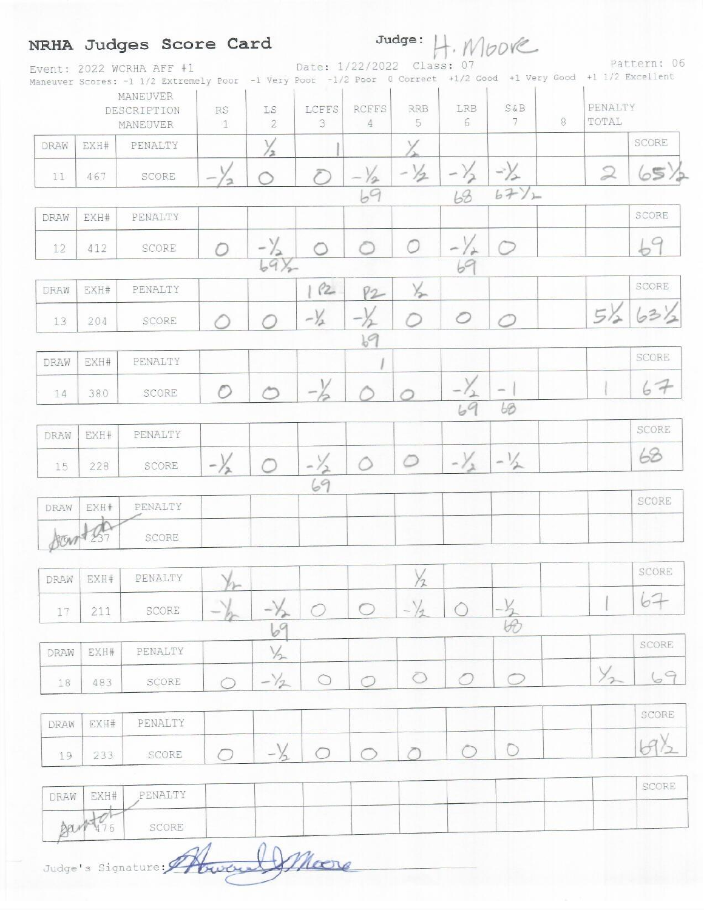|      |      | NRHA Judges Score Card                                                                                                                      |                                            |                 |                           |                                |                  |                | $Judge: $ $H. $ Mbove |   |                  |             |
|------|------|---------------------------------------------------------------------------------------------------------------------------------------------|--------------------------------------------|-----------------|---------------------------|--------------------------------|------------------|----------------|-----------------------|---|------------------|-------------|
|      |      | Event: 2022 WCRHA AFF #1<br>Maneuver Scores: -1 1/2 Extremely Poor -1 Very Poor -1/2 Poor 0 Correct +1/2 Good +1 Very Good +1 1/2 Excellent |                                            |                 | Date: 1/22/2022 Class: 07 |                                |                  |                |                       |   |                  | Pattern: 06 |
|      |      | <b>MANEUVER</b><br>DESCRIPTION<br><b>MANEUVER</b>                                                                                           | RS.<br>LS<br>$\mathcal{D}$<br>$\mathbb{1}$ |                 | LCFFS<br>3                | <b>RCFFS</b><br>$\overline{4}$ | <b>RRB</b><br>5. | LRB<br>6       | S&B<br>7              | 8 | PENALTY<br>TOTAL |             |
| DRAW | EXH# | PENALTY                                                                                                                                     |                                            |                 |                           |                                |                  |                |                       |   |                  | SCORE       |
| 11   | 467  | SCORE                                                                                                                                       |                                            |                 |                           | $\frac{-1}{69}$                | $-1/2$           |                | $\Rightarrow$         |   | $\mathfrak{D}$   | 65          |
|      |      |                                                                                                                                             |                                            |                 |                           |                                |                  | 63             | 6771                  |   |                  |             |
| DRAW | EXH# | PENALTY                                                                                                                                     |                                            |                 |                           |                                |                  |                |                       |   |                  | SCORE       |
| 12   | 412  | SCORE                                                                                                                                       |                                            | $-\frac{1}{2}$  |                           |                                |                  | $ \prime$      |                       |   |                  |             |
|      |      |                                                                                                                                             |                                            | $69\frac{1}{2}$ |                           |                                |                  |                |                       |   |                  |             |
| DRAW | EXH# | PENALTY                                                                                                                                     |                                            |                 | P2                        | 82                             | $\times$         |                |                       |   |                  | SCORE       |
| 13   | 204  | SCORE                                                                                                                                       |                                            |                 | $-\frac{1}{2}$            |                                |                  |                |                       |   | $5\%$            | 631         |
|      |      |                                                                                                                                             |                                            |                 |                           | 69                             |                  |                |                       |   |                  |             |
| DRAW | EXH# | PENALTY                                                                                                                                     |                                            |                 |                           |                                |                  |                |                       |   |                  | SCORE       |
| 14   | 380  | SCORE                                                                                                                                       |                                            |                 |                           |                                |                  |                | $\sim$                |   |                  | 67          |
|      |      |                                                                                                                                             |                                            |                 |                           |                                |                  | 69             | 68                    |   |                  |             |
| DRAW | EXH# | PENALTY                                                                                                                                     |                                            |                 |                           |                                |                  |                |                       |   |                  | SCORE       |
| 15   | 228  | <b>SCORE</b>                                                                                                                                | $-\frac{1}{2}$                             |                 |                           | $\bigcirc$                     | $\circ$          | $-\frac{1}{2}$ | $-1/2$                |   |                  | 63          |
|      |      |                                                                                                                                             |                                            |                 | 69                        |                                |                  |                |                       |   |                  |             |

|  | DRAW EXH# PENALTY |  |  |  |  |  |
|--|-------------------|--|--|--|--|--|
|  | NOVEL 237 SCORE   |  |  |  |  |  |

| DRAW | EXH# | PENALTY          |              |        |  |        |   |  | SCORE |
|------|------|------------------|--------------|--------|--|--------|---|--|-------|
|      | 211  | SCORE            | <b>Texas</b> | with a |  | $\sim$ | - |  |       |
|      |      |                  |              |        |  |        |   |  |       |
| DRAW | EXH# | $\verb PENALTY $ |              |        |  |        |   |  | SCORE |
| 18   | 483  | SCORE            |              | $\sim$ |  |        |   |  |       |

|    |     | DRAW EXH# PENALTY |  |  |  |  |  |
|----|-----|-------------------|--|--|--|--|--|
| 19 | 233 | SCORE             |  |  |  |  |  |

|           | DRAW   EXH#   PENALTY |  |  | SCORL |
|-----------|-----------------------|--|--|-------|
| Barby 176 | SCORE                 |  |  |       |

Judge's Signature: Abward Moore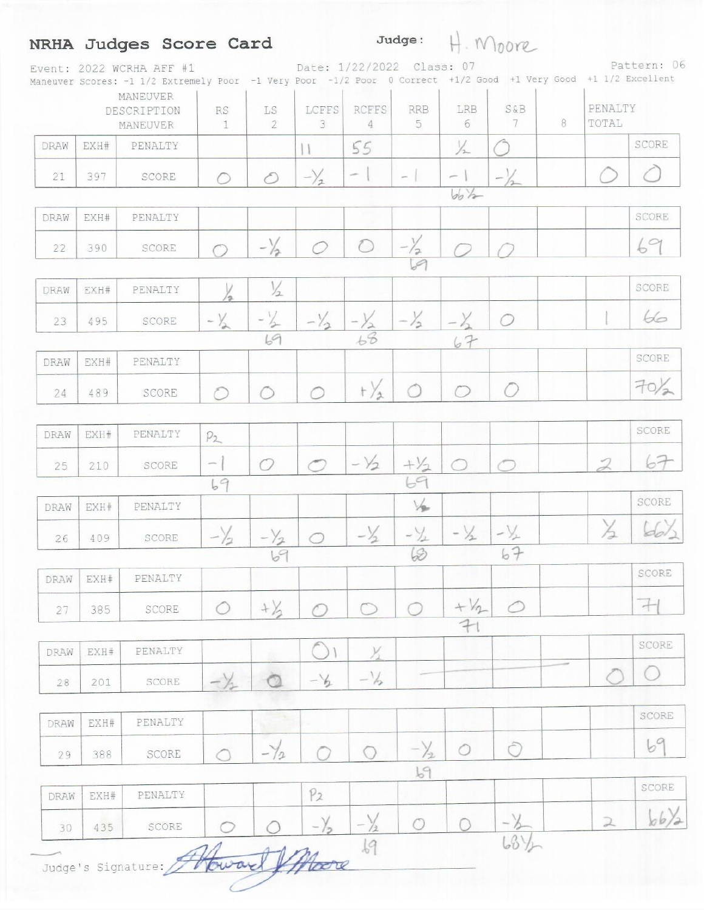## NRHA Judges Score Card

 $Judge: #. 100072$ Pattern: 06 Date: 1/22/2022 Class: 07 Event: 2022 WCRHA AFF #1 Maneuver Scores: -1 1/2 Extremely Poor -1 Very Poor -1/2 Poor 0 Correct +1/2 Good +1 Very Good +1 1/2 Excellent

|      |      | MANEUVER<br>DESCRIPTION<br>MANEUVER | $\mathbb{R}\mathbb{S}$<br>$\mathbbm{1}$ | LS<br>$\tilde{2}$ | LCFFS<br>3               | <b>RCFFS</b><br>$\overline{4}$ | <b>RRB</b><br>5       | LRB<br>6                 | <b>S&amp;B</b><br>7 | 8 | PENALTY<br>TOTAL |                  |
|------|------|-------------------------------------|-----------------------------------------|-------------------|--------------------------|--------------------------------|-----------------------|--------------------------|---------------------|---|------------------|------------------|
| DRAW | EXH# | PENALTY                             |                                         |                   |                          | 55                             |                       | $\frac{1}{2}$            |                     |   |                  | SCORE            |
| 21   | 397  | SCORE                               | $\circ$                                 | $\circ$           | $-\frac{1}{2}$           | $\sim$                         | $-$                   | $\overline{\phantom{0}}$ | $-\frac{1}{2}$      |   |                  |                  |
|      |      |                                     |                                         |                   |                          |                                |                       | $bb +$                   |                     |   |                  |                  |
| DRAW | EXH# | PENALTY                             |                                         |                   |                          |                                |                       |                          |                     |   |                  | SCORE            |
| 22   | 390  | SCORE                               | $\bigcap$                               | $-\frac{1}{2}$    | 0                        | $\bigcirc$                     | $-\frac{y}{69}$       |                          |                     |   |                  | 69               |
| DRAW | EXH# | PENALTY                             | Ιэ.                                     | $\frac{1}{2}$     |                          |                                |                       |                          |                     |   |                  | SCORE            |
| 23   | 495  | SCORE                               | $-\frac{1}{2}$                          | $-\frac{1}{2}$    | $-\frac{1}{2}$           | $-\frac{1}{66}$                | $-\frac{1}{2}$        | $-\frac{\gamma}{2}$      | $\circ$             |   |                  | 66               |
|      |      |                                     |                                         | 69                |                          |                                |                       | 67                       |                     |   |                  |                  |
| DRAW | EXH# | PENALTY                             |                                         |                   |                          |                                |                       |                          |                     |   |                  | SCORE            |
| 24   | 489  | SCORE                               | $\circlearrowright$                     | ◯                 | ◯                        | $t\frac{1}{2}$                 | $\circ$               | $\bigcirc$               | 0                   |   |                  | 70/2             |
| DRAW | EXH# | PENALTY                             | P <sub>2</sub>                          |                   |                          |                                |                       |                          |                     |   |                  | SCORE            |
| 25   | 210  | SCORE                               | $\overline{\phantom{a}}$                | $\bigcirc$        | $\overline{\phantom{0}}$ | $-\sqrt{2}$                    |                       | $\circ$                  | $\subset$           |   | $\overline{2}$   | 67               |
|      |      |                                     | 69                                      |                   |                          |                                | $rac{11}{69}$         |                          |                     |   |                  |                  |
| DRAW | EXH# | PENALTY                             |                                         |                   |                          |                                | $\frac{1}{2}$         |                          |                     |   |                  | SCORE            |
| 26   | 409  | SCORE                               | $-\sqrt{2}$                             | $-\frac{1}{2}$    | $\bigcirc$               | $-\frac{1}{2}$                 | $-\frac{\sqrt{3}}{2}$ | $- \frac{1}{2}$          | $-\frac{1}{2}$      |   | $\frac{1}{2}$    | $d_0$            |
|      |      |                                     |                                         | 69                |                          |                                | $\varphi$             |                          | 67                  |   |                  |                  |
| DRAW | EXH# | PENALTY                             |                                         |                   |                          |                                |                       |                          |                     |   |                  | SCORE            |
| 27   | 385  | $\texttt{SCORE}$                    |                                         | $+\frac{1}{2}$    |                          |                                |                       | $+V_{2}$                 | $\curvearrowleft$   |   |                  | 71               |
|      |      |                                     |                                         |                   |                          |                                |                       | 7                        |                     |   |                  | SCORE            |
| DRAW | EXH# | PENALTY                             |                                         |                   |                          | $\frac{1}{2}$                  |                       |                          |                     |   |                  |                  |
| 28   | 201  | SCORE                               | $-\frac{1}{2}$                          |                   | $-\frac{1}{2}$           | $-\frac{1}{2}$                 |                       |                          |                     |   |                  | $\overline{(\ }$ |
| DRAW | EXH# | PENALTY                             |                                         |                   |                          |                                |                       |                          |                     |   |                  | SCORE            |
| 29   | 388  | SCORE                               | $\cap$                                  | $-\frac{1}{2}$    |                          | O                              | $-\frac{1}{2}$        | $\bigcirc$               | Ô                   |   |                  | 69               |
|      |      |                                     |                                         |                   |                          |                                | b9                    |                          |                     |   |                  |                  |
| DRAW | EXH# | PENALTY                             |                                         |                   | P <sub>2</sub>           |                                |                       |                          |                     |   |                  | SCORE            |
| 30   | 435  | SCORE                               |                                         |                   |                          | $-\sqrt{2}$                    | $\circ$               |                          |                     |   | $\geq$           | b/b/2            |
|      |      | Judge's Signature:                  |                                         |                   |                          | 69                             |                       |                          | $68\frac{1}{2}$     |   |                  |                  |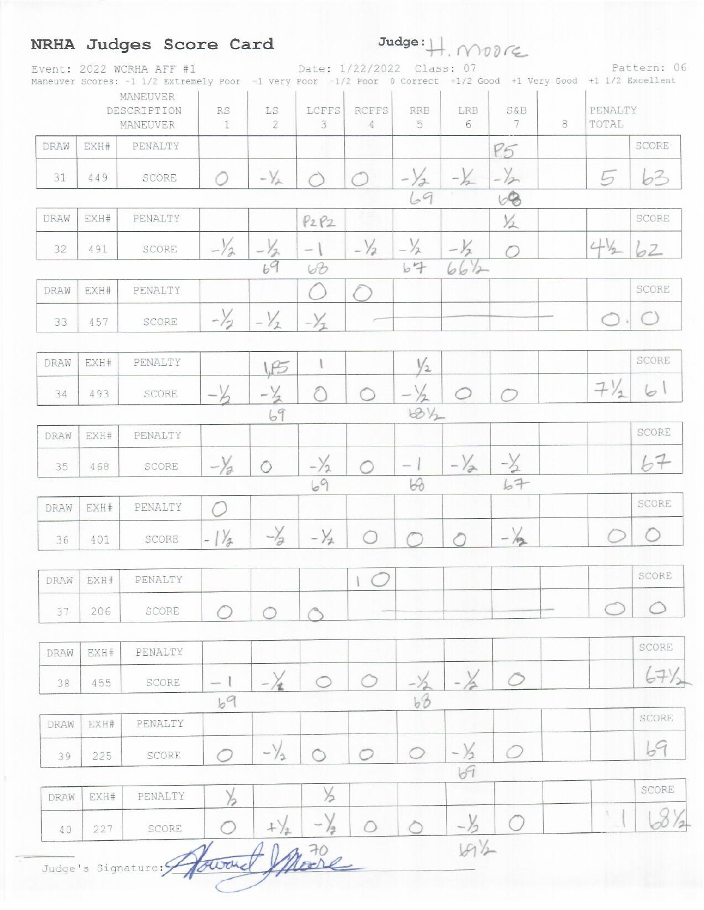|      |      | Maneuver Scores: -1 1/2 Extremely Poor -1 Very Poor -1/2 Poor 0 Correct +1/2 Good +1 Very Good +1 1/2 Excellent<br><b>MANEUVER</b> |                           |                   |                        |                   |                 |                 |                     |   |                  |                      |
|------|------|------------------------------------------------------------------------------------------------------------------------------------|---------------------------|-------------------|------------------------|-------------------|-----------------|-----------------|---------------------|---|------------------|----------------------|
|      |      | DESCRIPTION<br>MANEUVER                                                                                                            | <b>RS</b><br>$\mathbb{1}$ | LS<br>2           | LCFFS<br>$\mathcal{F}$ | <b>RCFFS</b><br>4 | <b>RRB</b><br>5 | <b>LRB</b><br>6 | <b>S&amp;B</b><br>7 | 8 | PENALTY<br>TOTAL |                      |
| DRAW | EXH# | PENALTY                                                                                                                            |                           |                   |                        |                   |                 |                 | P5                  |   |                  | SCORE                |
| 31   | 449  | SCORE                                                                                                                              | ○                         | $-\sqrt{\lambda}$ |                        |                   | $-\sqrt{2}$     | $-\frac{1}{2}$  | $-\frac{1}{2}$      |   |                  | 63                   |
|      |      |                                                                                                                                    |                           |                   |                        |                   | 69              |                 | 68                  |   |                  |                      |
| DRAW | EXH# | PENALTY                                                                                                                            |                           |                   | P2P2                   |                   |                 |                 | $\frac{1}{2}$       |   |                  | SCORE                |
| 32   | 491  | SCORE                                                                                                                              | $-\frac{1}{2}$            | $-\frac{v}{69}$   |                        | $-\frac{1}{2}$    | $-\frac{1}{2}$  |                 |                     |   | $4\%$            | $\circ$ <sup>2</sup> |
|      |      |                                                                                                                                    |                           |                   | 68                     |                   | b4              | 66/2            |                     |   |                  |                      |
| DRAW | EXH# | PENALTY                                                                                                                            |                           |                   | 'n.                    |                   |                 |                 |                     |   |                  | SCORE                |
| 33   | 457  | SCORE                                                                                                                              | $-\frac{1}{2}$            | $-\frac{V_1}{2}$  | $-\frac{\sqrt{2}}{2}$  |                   |                 |                 |                     |   |                  |                      |
| DRAW | EXH# | PENALTY                                                                                                                            |                           | I.F5              |                        |                   | $\frac{1}{2}$   |                 |                     |   |                  | SCORE                |
| 34   | 493  | SCORE                                                                                                                              | $\overline{\phantom{a}}$  | $-\frac{1}{2}$    |                        |                   |                 |                 |                     |   | $7\frac{1}{1}$   | 61                   |
|      |      |                                                                                                                                    |                           | 69                |                        |                   | $68\frac{1}{2}$ |                 |                     |   |                  |                      |
| DRAW | EXH# | PENALTY                                                                                                                            |                           |                   |                        |                   |                 |                 |                     |   |                  | SCORE                |
| 35   | 468  | SCORE                                                                                                                              | $-\frac{1}{2}$            | $\circ$           | $-\frac{1}{2}$         | ◯                 | $-1$            | $-\frac{1}{2}$  | $-\frac{1}{2}$      |   |                  | 67                   |
|      |      |                                                                                                                                    |                           |                   | 69                     |                   | 68              |                 | 67                  |   |                  | SCORE                |
| DRAW | EXH# | PENALTY                                                                                                                            |                           |                   |                        |                   |                 |                 |                     |   |                  |                      |
| 36   | 401  | SCORE                                                                                                                              | $-1\frac{1}{2}$           | $-\frac{1}{2}$    | $-\frac{1}{2}$         |                   |                 |                 | $-\frac{1}{2}$      |   |                  |                      |
| DRAW | EXH# | PENALTY                                                                                                                            |                           |                   |                        |                   |                 |                 |                     |   |                  | SCORE                |
| 37   | 206  | SCORE                                                                                                                              |                           |                   |                        |                   |                 |                 |                     |   |                  |                      |
| DRAW | EXH# | PENALTY                                                                                                                            |                           |                   |                        |                   |                 |                 |                     |   |                  | SCORE                |
| 38   | 455  | SCORE                                                                                                                              | $\overline{\phantom{a}}$  |                   |                        |                   |                 |                 | $\circ$             |   |                  |                      |
|      |      |                                                                                                                                    | 69                        |                   |                        |                   | $b\hat{b}$      |                 |                     |   |                  |                      |
| DRAW | EXH# | PENALTY                                                                                                                            |                           |                   |                        |                   |                 |                 |                     |   |                  | SCORE                |
| 39   | 225  | SCORE                                                                                                                              |                           | $-\frac{1}{2}$    |                        | っ                 | ◯               |                 |                     |   |                  | 69                   |
| DRAW | EXH# | PENALTY                                                                                                                            | $\frac{1}{2}$             |                   | X                      |                   |                 |                 |                     |   |                  | SCORE                |
| 40   | 227  | SCORE                                                                                                                              |                           | $^{+}$            |                        |                   |                 |                 |                     |   |                  |                      |